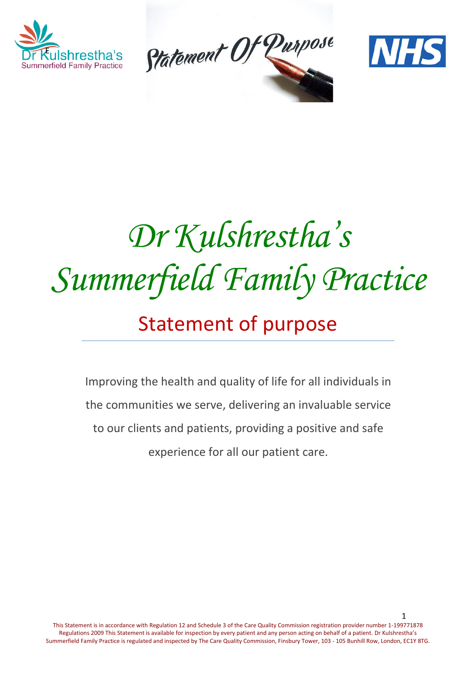





# *Dr Kulshrestha's Summerfield Family Practice*

# Statement of purpose

Improving the health and quality of life for all individuals in the communities we serve, delivering an invaluable service to our clients and patients, providing a positive and safe experience for all our patient care.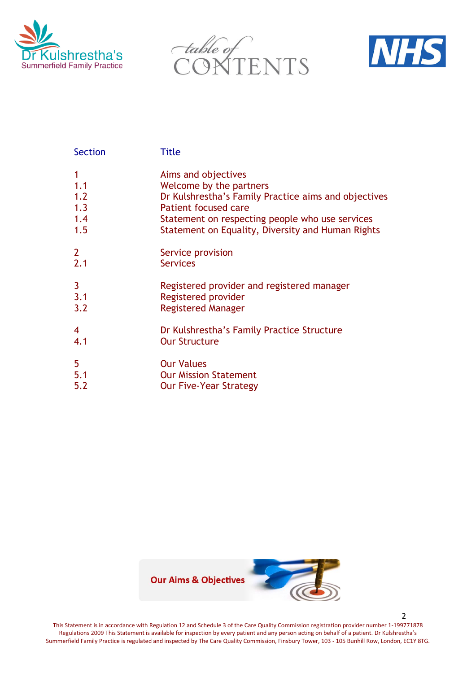





| <b>Section</b>                  | <b>Title</b>                                                                                                                                                                                                                           |
|---------------------------------|----------------------------------------------------------------------------------------------------------------------------------------------------------------------------------------------------------------------------------------|
| 1.1<br>1.2<br>1.3<br>1.4<br>1.5 | Aims and objectives<br>Welcome by the partners<br>Dr Kulshrestha's Family Practice aims and objectives<br>Patient focused care<br>Statement on respecting people who use services<br>Statement on Equality, Diversity and Human Rights |
| 2 <sup>1</sup>                  | Service provision                                                                                                                                                                                                                      |
| 2.1                             | <b>Services</b>                                                                                                                                                                                                                        |
| 3                               | Registered provider and registered manager                                                                                                                                                                                             |
| 3.1                             | Registered provider                                                                                                                                                                                                                    |
| 3.2                             | <b>Registered Manager</b>                                                                                                                                                                                                              |
| 4                               | Dr Kulshrestha's Family Practice Structure                                                                                                                                                                                             |
| 4.1                             | <b>Our Structure</b>                                                                                                                                                                                                                   |
| 5                               | <b>Our Values</b>                                                                                                                                                                                                                      |
| 5.1                             | <b>Our Mission Statement</b>                                                                                                                                                                                                           |
| 5.2                             | <b>Our Five-Year Strategy</b>                                                                                                                                                                                                          |



This Statement is in accordance with Regulation 12 and Schedule 3 of the Care Quality Commission registration provider number 1-199771878 Regulations 2009 This Statement is available for inspection by every patient and any person acting on behalf of a patient. Dr Kulshrestha's Summerfield Family Practice is regulated and inspected by The Care Quality Commission, Finsbury Tower, 103 - 105 Bunhill Row, London, EC1Y 8TG.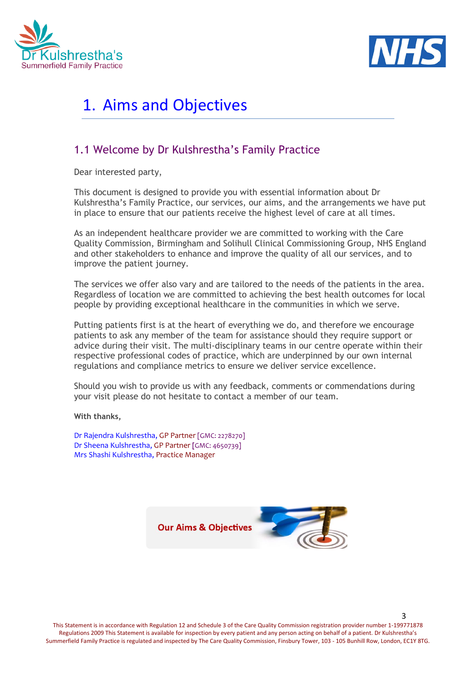



# 1. Aims and Objectives

### 1.1 Welcome by Dr Kulshrestha's Family Practice

Dear interested party,

This document is designed to provide you with essential information about Dr Kulshrestha's Family Practice, our services, our aims, and the arrangements we have put in place to ensure that our patients receive the highest level of care at all times.

As an independent healthcare provider we are committed to working with the Care Quality Commission, Birmingham and Solihull Clinical Commissioning Group, NHS England and other stakeholders to enhance and improve the quality of all our services, and to improve the patient journey.

The services we offer also vary and are tailored to the needs of the patients in the area. Regardless of location we are committed to achieving the best health outcomes for local people by providing exceptional healthcare in the communities in which we serve.

Putting patients first is at the heart of everything we do, and therefore we encourage patients to ask any member of the team for assistance should they require support or advice during their visit. The multi-disciplinary teams in our centre operate within their respective professional codes of practice, which are underpinned by our own internal regulations and compliance metrics to ensure we deliver service excellence.

Should you wish to provide us with any feedback, comments or commendations during your visit please do not hesitate to contact a member of our team.

**With thanks,**

Dr Rajendra Kulshrestha, GP Partner [GMC: 2278270] Dr Sheena Kulshrestha, GP Partner **[**GMC: 4650739] Mrs Shashi Kulshrestha, Practice Manager

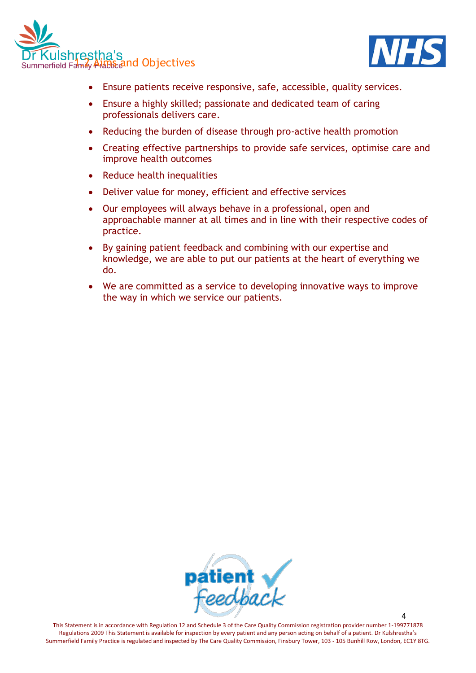



- Ensure patients receive responsive, safe, accessible, quality services.
- Ensure a highly skilled; passionate and dedicated team of caring professionals delivers care.
- Reducing the burden of disease through pro-active health promotion
- Creating effective partnerships to provide safe services, optimise care and improve health outcomes
- Reduce health inequalities
- Deliver value for money, efficient and effective services
- Our employees will always behave in a professional, open and approachable manner at all times and in line with their respective codes of practice.
- By gaining patient feedback and combining with our expertise and knowledge, we are able to put our patients at the heart of everything we do.
- We are committed as a service to developing innovative ways to improve the way in which we service our patients.



This Statement is in accordance with Regulation 12 and Schedule 3 of the Care Quality Commission registration provider number 1-199771878 Regulations 2009 This Statement is available for inspection by every patient and any person acting on behalf of a patient. Dr Kulshrestha's Summerfield Family Practice is regulated and inspected by The Care Quality Commission, Finsbury Tower, 103 - 105 Bunhill Row, London, EC1Y 8TG.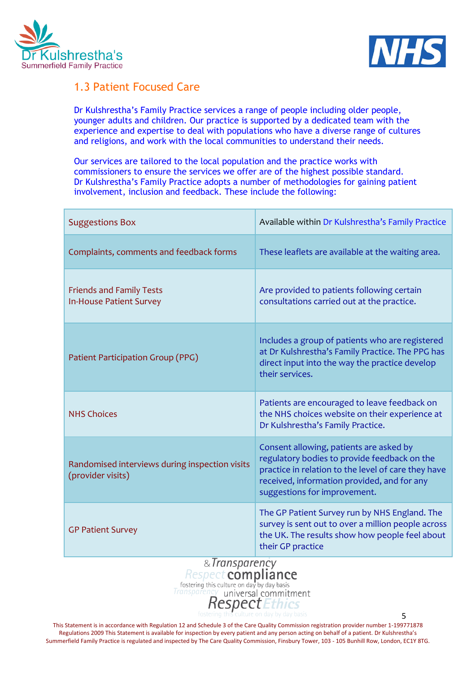



### 1.3 Patient Focused Care

Dr Kulshrestha's Family Practice services a range of people including older people, younger adults and children. Our practice is supported by a dedicated team with the experience and expertise to deal with populations who have a diverse range of cultures and religions, and work with the local communities to understand their needs.

Our services are tailored to the local population and the practice works with commissioners to ensure the services we offer are of the highest possible standard. Dr Kulshrestha's Family Practice adopts a number of methodologies for gaining patient involvement, inclusion and feedback. These include the following:

| <b>Suggestions Box</b>                                              | Available within Dr Kulshrestha's Family Practice                                                                                                                                                                             |
|---------------------------------------------------------------------|-------------------------------------------------------------------------------------------------------------------------------------------------------------------------------------------------------------------------------|
| Complaints, comments and feedback forms                             | These leaflets are available at the waiting area.                                                                                                                                                                             |
| <b>Friends and Family Tests</b><br><b>In-House Patient Survey</b>   | Are provided to patients following certain<br>consultations carried out at the practice.                                                                                                                                      |
| Patient Participation Group (PPG)                                   | Includes a group of patients who are registered<br>at Dr Kulshrestha's Family Practice. The PPG has<br>direct input into the way the practice develop<br>their services.                                                      |
| <b>NHS Choices</b>                                                  | Patients are encouraged to leave feedback on<br>the NHS choices website on their experience at<br>Dr Kulshrestha's Family Practice.                                                                                           |
| Randomised interviews during inspection visits<br>(provider visits) | Consent allowing, patients are asked by<br>regulatory bodies to provide feedback on the<br>practice in relation to the level of care they have<br>received, information provided, and for any<br>suggestions for improvement. |
| <b>GP Patient Survey</b>                                            | The GP Patient Survey run by NHS England. The<br>survey is sent out to over a million people across<br>the UK. The results show how people feel about<br>their GP practice                                                    |

### & Transparency Respect compliance fostering this culture on day by day basis universal commitment **RespectEthics**

This Statement is in accordance with Regulation 12 and Schedule 3 of the Care Quality Commission registration provider number 1-199771878 Regulations 2009 This Statement is available for inspection by every patient and any person acting on behalf of a patient. Dr Kulshrestha's Summerfield Family Practice is regulated and inspected by The Care Quality Commission, Finsbury Tower, 103 - 105 Bunhill Row, London, EC1Y 8TG.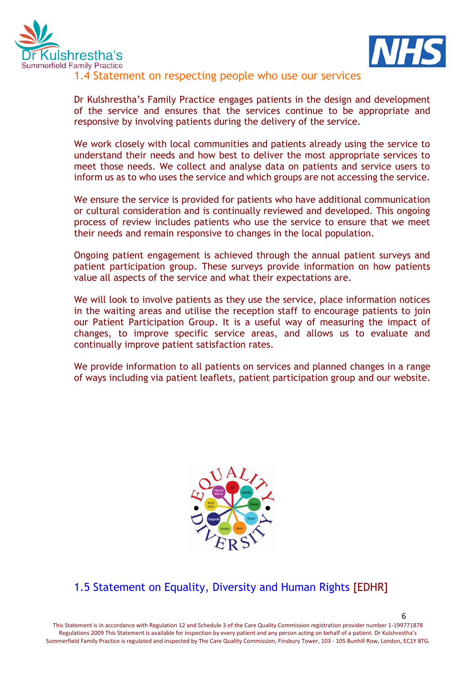



### 1.4 Statement on respecting people who use our services

Dr Kulshrestha's Family Practice engages patients in the design and development of the service and ensures that the services continue to be appropriate and responsive by involving patients during the delivery of the service.

We work closely with local communities and patients already using the service to understand their needs and how best to deliver the most appropriate services to meet those needs. We collect and analyse data on patients and service users to inform us as to who uses the service and which groups are not accessing the service.

We ensure the service is provided for patients who have additional communication or cultural consideration and is continually reviewed and developed. This ongoing process of review includes patients who use the service to ensure that we meet their needs and remain responsive to changes in the local population.

Ongoing patient engagement is achieved through the annual patient surveys and patient participation group. These surveys provide information on how patients value all aspects of the service and what their expectations are.

We will look to involve patients as they use the service, place information notices in the waiting areas and utilise the reception staff to encourage patients to join our Patient Participation Group. It is a useful way of measuring the impact of changes, to improve specific service areas, and allows us to evaluate and continually improve patient satisfaction rates.

We provide information to all patients on services and planned changes in a range of ways including via patient leaflets, patient participation group and our website.



### 1.5 Statement on Equality, Diversity and Human Rights [EDHR]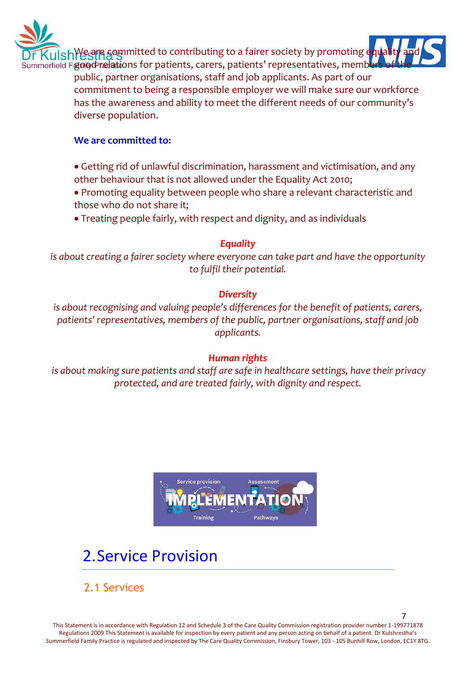

 $\mathsf{s}\mathsf{h}\mathsf{W}\mathsf{g}$ are  $\mathsf{g}\mathsf{g}$  arm that to contributing to a fairer society by promoting equality and

Bummerfield From predictions for patients, carers, patients' representatives, members of the theories of the theories of the theories of the temperatures. public, partner organisations, staff and job applicants. As part of our commitment to being a responsible employer we will make sure our workforce has the awareness and ability to meet the different needs of our community's diverse population.

### **We are committed to:**

- Getting rid of unlawful discrimination, harassment and victimisation, and any other behaviour that is not allowed under the Equality Act 2010;
- Promoting equality between people who share a relevant characteristic and those who do not share it;
- Treating people fairly, with respect and dignity, and as individuals

### *Equality*

*is about creating a fairer society where everyone can take part and have the opportunity to fulfil their potential.*

### *Diversity*

*is about recognising and valuing people's differences for the benefit of patients, carers, patients' representatives, members of the public, partner organisations, staff and job applicants.*

### *Human rights*

*is about making sure patients and staff are safe in healthcare settings, have their privacy protected, and are treated fairly, with dignity and respect.*



# 2.Service Provision

2.1 Services

This Statement is in accordance with Regulation 12 and Schedule 3 of the Care Quality Commission registration provider number 1-199771878 Regulations 2009 This Statement is available for inspection by every patient and any person acting on behalf of a patient. Dr Kulshrestha's Summerfield Family Practice is regulated and inspected by The Care Quality Commission, Finsbury Tower, 103 - 105 Bunhill Row, London, EC1Y 8TG.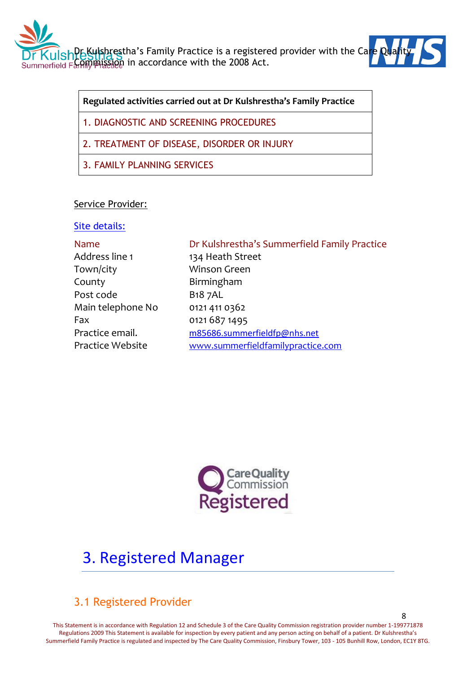



**Regulated activities carried out at Dr Kulshrestha's Family Practice**

- 1. DIAGNOSTIC AND SCREENING PROCEDURES
- 2. TREATMENT OF DISEASE, DISORDER OR INJURY
- 3. FAMILY PLANNING SERVICES

### Service Provider:

### Site details:

Address line 1 134 Heath Street Town/city Winson Green County Birmingham Post code B18 7AL Main telephone No 0121 411 0362 Fax 0121 687 1495

### Name Dr Kulshrestha's Summerfield Family Practice

Practice email. [m85686.summerfieldfp@nhs.net](mailto:m85686.summerfieldfp@nhs.net) Practice Website [www.summerfieldfamilypractice.com](http://www.summerfieldfamilypractice.com/)



# 3. Registered Manager

### 3.1 Registered Provider

This Statement is in accordance with Regulation 12 and Schedule 3 of the Care Quality Commission registration provider number 1-199771878 Regulations 2009 This Statement is available for inspection by every patient and any person acting on behalf of a patient. Dr Kulshrestha's Summerfield Family Practice is regulated and inspected by The Care Quality Commission, Finsbury Tower, 103 - 105 Bunhill Row, London, EC1Y 8TG.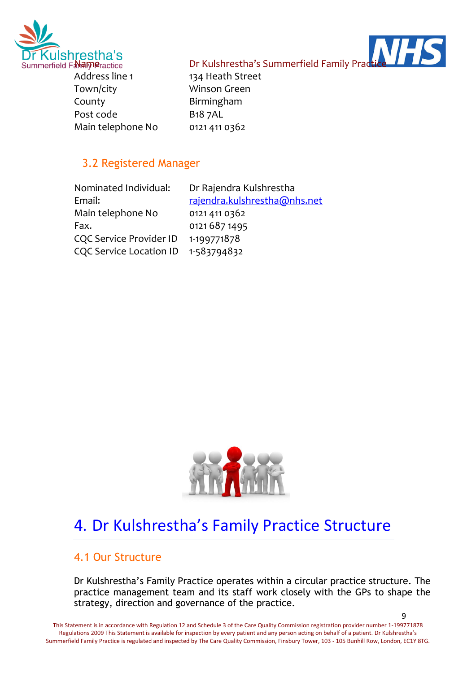

al Mameractice **Summerfield Family Prad<del>tice</del> (All Angles** Dr Kulshrestha's Summerfield Family Pradtice

Address line 1 134 Heath Street Town/city Winson Green County Birmingham Post code B18 7AL Main telephone No 0121 411 0362

### 3.2 Registered Manager

| Nominated Individual:          | Dr Rajendra Kulshrestha      |
|--------------------------------|------------------------------|
| Email:                         | rajendra.kulshrestha@nhs.net |
| Main telephone No              | 0121 411 0362                |
| Fax.                           | 0121 687 1495                |
| <b>CQC Service Provider ID</b> | 1-199771878                  |
| CQC Service Location ID        | 1-583794832                  |



# 4. Dr Kulshrestha's Family Practice Structure

### 4.1 Our Structure

Dr Kulshrestha's Family Practice operates within a circular practice structure. The practice management team and its staff work closely with the GPs to shape the strategy, direction and governance of the practice.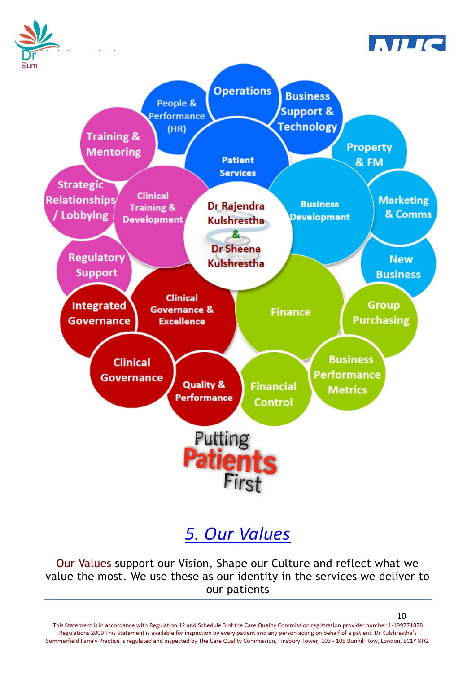

# *5. Our Values*

Our Values support our Vision, Shape our Culture and reflect what we value the most. We use these as our identity in the services we deliver to our patients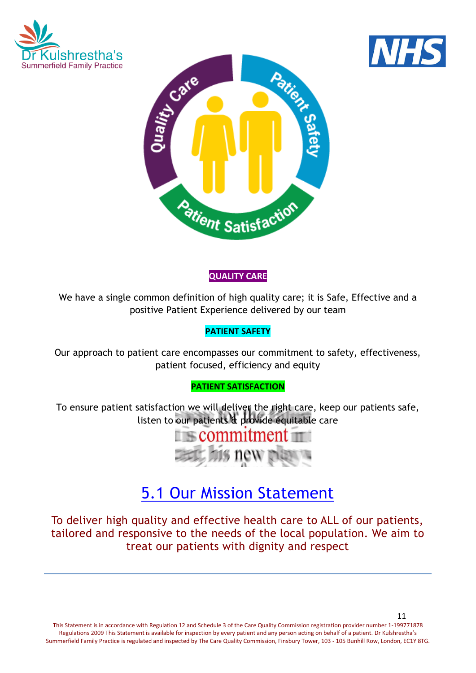





### **QUALITY CARE**

We have a single common definition of high quality care; it is Safe, Effective and a positive Patient Experience delivered by our team

### **PATIENT SAFETY**

Our approach to patient care encompasses our commitment to safety, effectiveness, patient focused, efficiency and equity

### **PATIENT SATISFACTION**

To ensure patient satisfaction we will deliver the right care, keep our patients safe, listen to our patients & provide equitable care



# 5.1 Our Mission Statement

To deliver high quality and effective health care to ALL of our patients, tailored and responsive to the needs of the local population. We aim to treat our patients with dignity and respect